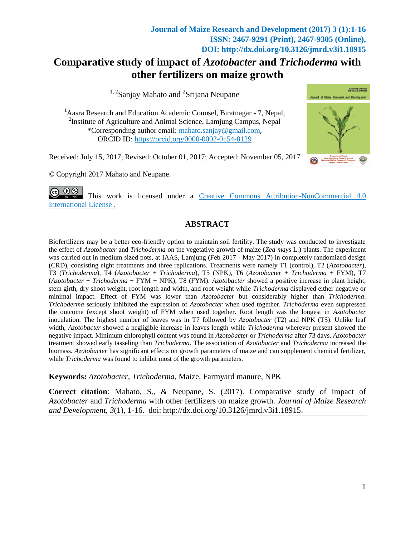# **Comparative study of impact of** *Azotobacter* **and** *Trichoderma* **with other fertilizers on maize growth**

<sup>1, 2</sup>Sanjay Mahato and <sup>2</sup>Srijana Neupane

<sup>1</sup> Aasra Research and Education Academic Counsel, Biratnagar - 7, Nepal, <sup>2</sup>Institute of Agriculture and Animal Science, Lamjung Campus, Nepal \*Corresponding author email: mahato.sanjay@gmail.com, ORCID ID: https://orcid.org/0000-0002-0154-8129



Received: July 15, 2017; Revised: October 01, 2017; Accepted: November 05, 2017

*©* Copyright 2017 Mahato and Neupane.

 $\odot$ This work is licensed under a [Creative Commons Attribution-NonCommercial 4.0](https://creativecommons.org/licenses/by-nc/4.0/legalcode)  [International](https://creativecommons.org/licenses/by-nc/4.0/legalcode) License .

# **ABSTRACT**

Biofertilizers may be a better eco-friendly option to maintain soil fertility. The study was conducted to investigate the effect of *Azotobacter* and *Trichoderma* on the vegetative growth of maize (*Zea mays* L.) plants. The experiment was carried out in medium sized pots, at IAAS, Lamjung (Feb 2017 - May 2017) in completely randomized design (CRD), consisting eight treatments and three replications. Treatments were namely T1 (control), T2 (*Azotobacter*), T3 (*Trichoderma*), T4 (*Azotobacter* + *Trichoderma*), T5 (NPK), T6 (*Azotobacter* + *Trichoderma* + FYM), T7 (*Azotobacter* + *Trichoderma* + FYM + NPK), T8 (FYM). *Azotobacter* showed a positive increase in plant height, stem girth, dry shoot weight, root length and width, and root weight while *Trichoderma* displayed either negative or minimal impact. Effect of FYM was lower than *Azotobacter* but considerably higher than *Trichoderma*. *Trichoderma* seriously inhibited the expression of *Azotobacter* when used together. *Trichoderma* even suppressed the outcome (except shoot weight) of FYM when used together. Root length was the longest in *Azotobacter* inoculation. The highest number of leaves was in T7 followed by *Azotobacter* (T2) and NPK (T5). Unlike leaf width, *Azotobacter* showed a negligible increase in leaves length while *Trichoderma* wherever present showed the negative impact. Minimum chlorophyll content was found in *Azotobacter* or *Trichoderma* after 73 days. *Azotobacter* treatment showed early tasseling than *Trichoderma*. The association of *Azotobacter* and *Trichoderma* increased the biomass. *Azotobacter* has significant effects on growth parameters of maize and can supplement chemical fertilizer, while *Trichoderma* was found to inhibit most of the growth parameters.

**Keywords:** *Azotobacter*, *Trichoderma,* Maize, Farmyard manure, NPK

**Correct citation**: Mahato, S., & Neupane, S. (2017). Comparative study of impact of *Azotobacter* and *Trichoderma* with other fertilizers on maize growth. *Journal of Maize Research and Development*, *3*(1), 1-16. doi: [http://dx.doi.org/10.3126/jmrd.v3i1.18915.](http://dx.doi.org/10.3126/jmrd.v3i1.18915)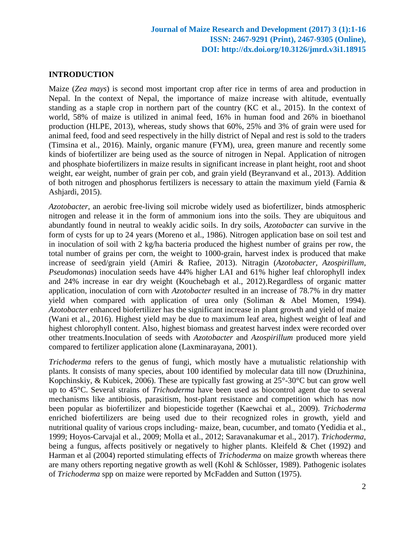## **INTRODUCTION**

Maize (*Zea mays*) is second most important crop after rice in terms of area and production in Nepal. In the context of Nepal, the importance of maize increase with altitude, eventually standing as a staple crop in northern part of the country (KC et al., 2015). In the context of world, 58% of maize is utilized in animal feed, 16% in human food and 26% in bioethanol production (HLPE, 2013), whereas, study shows that 60%, 25% and 3% of grain were used for animal feed, food and seed respectively in the hilly district of Nepal and rest is sold to the traders (Timsina et al., 2016). Mainly, organic manure (FYM), urea, green manure and recently some kinds of biofertilizer are being used as the source of nitrogen in Nepal. Application of nitrogen and phosphate biofertilizers in maize results in significant increase in plant height, root and shoot weight, ear weight, number of grain per cob, and grain yield (Beyranvand et al., 2013). Addition of both nitrogen and phosphorus fertilizers is necessary to attain the maximum yield (Farnia & Ashjardi, 2015).

*Azotobacter*, an aerobic free-living soil microbe widely used as biofertilizer, binds atmospheric nitrogen and release it in the form of ammonium ions into the soils. They are ubiquitous and abundantly found in neutral to weakly acidic soils. In dry soils, *Azotobacter* can survive in the form of cysts for up to 24 years (Moreno et al., 1986). Nitrogen application base on soil test and in inoculation of soil with 2 kg/ha bacteria produced the highest number of grains per row, the total number of grains per corn, the weight to 1000-grain, harvest index is produced that make increase of seed/grain yield (Amiri & Rafiee, 2013). Nitragin (*Azotobacter, Azospirillum, Pseudomonas*) inoculation seeds have 44% higher LAI and 61% higher leaf chlorophyll index and 24% increase in ear dry weight (Kouchebagh et al., 2012).Regardless of organic matter application, inoculation of corn with *Azotobacter* resulted in an increase of 78.7% in dry matter yield when compared with application of urea only (Soliman & Abel Momen, 1994). *Azotobacter* enhanced biofertilizer has the significant increase in plant growth and yield of maize (Wani et al., 2016). Highest yield may be due to maximum leaf area, highest weight of leaf and highest chlorophyll content. Also, highest biomass and greatest harvest index were recorded over other treatments.Inoculation of seeds with *Azotobacter* and *Azospirillum* produced more yield compared to fertilizer application alone (Laxminarayana, 2001).

*Trichoderma* refers to the genus of fungi, which mostly have a mutualistic relationship with plants. It consists of many species, about 100 identified by molecular data till now (Druzhinina, Kopchinskiy, & Kubicek, 2006). These are typically fast growing at 25°-30°C but can grow well up to 45°C. Several strains of *Trichoderma* have been used as biocontrol agent due to several mechanisms like antibiosis, parasitism, host-plant resistance and competition which has now been popular as biofertilizer and biopesticide together (Kaewchai et al., 2009). *Trichoderma* enriched biofertilizers are being used due to their recognized roles in growth, yield and nutritional quality of various crops including- maize, bean, cucumber, and tomato (Yedidia et al., 1999; Hoyos-Carvajal et al., 2009; Molla et al., 2012; Saravanakumar et al., 2017). *Trichoderma,* being a fungus, affects positively or negatively to higher plants. Kleifeld & Chet (1992) and Harman et al (2004) reported stimulating effects of *Trichoderma* on maize growth whereas there are many others reporting negative growth as well (Kohl & Schlösser, 1989). Pathogenic isolates of *Trichoderma* spp on maize were reported by McFadden and Sutton (1975).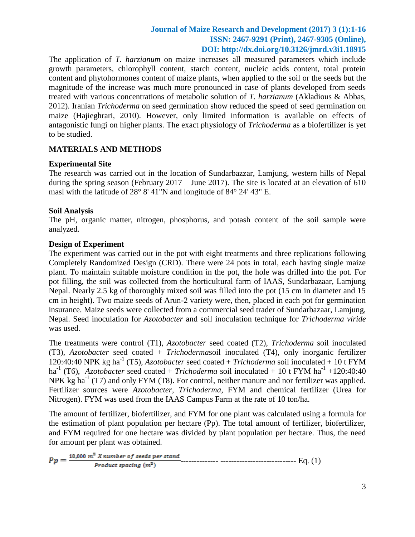The application of *T. harzianum* on maize increases all measured parameters which include growth parameters, chlorophyll content, starch content, nucleic acids content, total protein content and phytohormones content of maize plants, when applied to the soil or the seeds but the magnitude of the increase was much more pronounced in case of plants developed from seeds treated with various concentrations of metabolic solution of *T. harzianum* (Akladious & Abbas, 2012). Iranian *Trichoderma* on seed germination show reduced the speed of seed germination on maize (Hajieghrari, 2010). However, only limited information is available on effects of antagonistic fungi on higher plants. The exact physiology of *Trichoderma* as a biofertilizer is yet to be studied.

## **MATERIALS AND METHODS**

#### **Experimental Site**

The research was carried out in the location of Sundarbazzar, Lamjung, western hills of Nepal during the spring season (February 2017 – June 2017). The site is located at an elevation of 610 masl with the latitude of 28° 8' 41"N and longitude of 84° 24' 43" E.

#### **Soil Analysis**

The pH, organic matter, nitrogen, phosphorus, and potash content of the soil sample were analyzed.

## **Design of Experiment**

The experiment was carried out in the pot with eight treatments and three replications following Completely Randomized Design (CRD). There were 24 pots in total, each having single maize plant. To maintain suitable moisture condition in the pot, the hole was drilled into the pot. For pot filling, the soil was collected from the horticultural farm of IAAS, Sundarbazaar, Lamjung Nepal. Nearly 2.5 kg of thoroughly mixed soil was filled into the pot (15 cm in diameter and 15 cm in height). Two maize seeds of Arun-2 variety were, then, placed in each pot for germination insurance. Maize seeds were collected from a commercial seed trader of Sundarbazaar, Lamjung, Nepal. Seed inoculation for *Azotobacter* and soil inoculation technique for *Trichoderma viride*  was used.

The treatments were control (T1), *Azotobacter* seed coated (T2), *Trichoderma* soil inoculated (T3), *Azotobacter* seed coated + *Trichoderma*soil inoculated (T4), only inorganic fertilizer 120:40:40 NPK kg ha-1 (T5), *Azotobacter* seed coated + *Trichoderma* soil inoculated + 10 t FYM ha<sup>-1</sup> (T6), *Azotobacter* seed coated + *Trichoderma* soil inoculated + 10 t FYM ha<sup>-1</sup> +120:40:40 NPK kg ha<sup>-1</sup> (T7) and only FYM (T8). For control, neither manure and nor fertilizer was applied. Fertilizer sources were *Azotobacter, Trichoderma*, FYM and chemical fertilizer (Urea for Nitrogen). FYM was used from the IAAS Campus Farm at the rate of 10 ton/ha.

The amount of fertilizer, biofertilizer, and FYM for one plant was calculated using a formula for the estimation of plant population per hectare (Pp). The total amount of fertilizer, biofertilizer, and FYM required for one hectare was divided by plant population per hectare. Thus, the need for amount per plant was obtained.

$$
Pp = \frac{10,000 \, m^2 \, X \, number \, of \, seeds \, per \, stand}{Product \, spacing \, (m^2)}
$$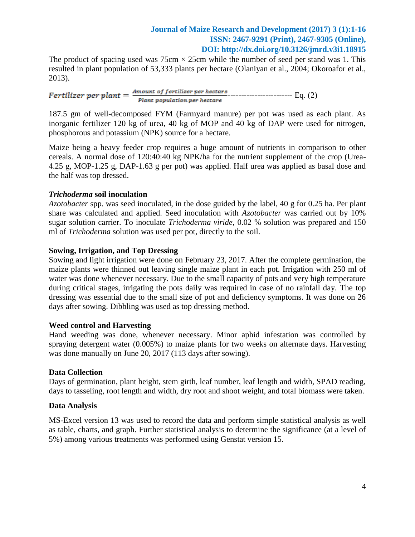The product of spacing used was  $75 \text{cm} \times 25 \text{cm}$  while the number of seed per stand was 1. This resulted in plant population of 53,333 plants per hectare (Olaniyan et al., 2004; Okoroafor et al., 2013).

------------------------ Eq. (2)

187.5 gm of well-decomposed FYM (Farmyard manure) per pot was used as each plant. As inorganic fertilizer 120 kg of urea, 40 kg of MOP and 40 kg of DAP were used for nitrogen, phosphorous and potassium (NPK) source for a hectare.

Maize being a heavy feeder crop requires a huge amount of nutrients in comparison to other cereals. A normal dose of 120:40:40 kg NPK/ha for the nutrient supplement of the crop (Urea-4.25 g, MOP-1.25 g, DAP-1.63 g per pot) was applied. Half urea was applied as basal dose and the half was top dressed.

# *Trichoderma* **soil inoculation**

*Azotobacter* spp. was seed inoculated, in the dose guided by the label, 40 g for 0.25 ha. Per plant share was calculated and applied. Seed inoculation with *Azotobacter* was carried out by 10% sugar solution carrier. To inoculate *Trichoderma viride*, 0.02 % solution was prepared and 150 ml of *Trichoderma* solution was used per pot, directly to the soil.

# **Sowing, Irrigation, and Top Dressing**

Sowing and light irrigation were done on February 23, 2017. After the complete germination, the maize plants were thinned out leaving single maize plant in each pot. Irrigation with 250 ml of water was done whenever necessary. Due to the small capacity of pots and very high temperature during critical stages, irrigating the pots daily was required in case of no rainfall day. The top dressing was essential due to the small size of pot and deficiency symptoms. It was done on 26 days after sowing. Dibbling was used as top dressing method.

# **Weed control and Harvesting**

Hand weeding was done, whenever necessary. Minor aphid infestation was controlled by spraying detergent water (0.005%) to maize plants for two weeks on alternate days. Harvesting was done manually on June 20, 2017 (113 days after sowing).

# **Data Collection**

Days of germination, plant height, stem girth, leaf number, leaf length and width, SPAD reading, days to tasseling, root length and width, dry root and shoot weight, and total biomass were taken.

# **Data Analysis**

MS-Excel version 13 was used to record the data and perform simple statistical analysis as well as table, charts, and graph. Further statistical analysis to determine the significance (at a level of 5%) among various treatments was performed using Genstat version 15.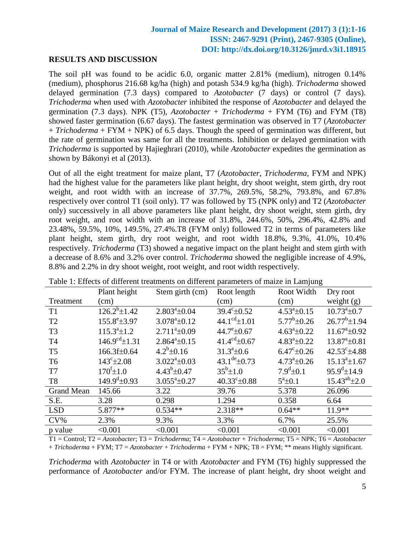#### **RESULTS AND DISCUSSION**

The soil pH was found to be acidic 6.0, organic matter 2.81% (medium), nitrogen 0.14% (medium), phosphorus 216.68 kg/ha (high) and potash 534.9 kg/ha (high). *Trichoderma* showed delayed germination (7.3 days) compared to *Azotobacter* (7 days) or control (7 days). *Trichoderma* when used with *Azotobacter* inhibited the response of *Azotobacter* and delayed the germination (7.3 days). NPK (T5), *Azotobacter* + *Trichoderma* + FYM (T6) and FYM (T8) showed faster germination (6.67 days). The fastest germination was observed in T7 (*Azotobacter* + *Trichoderma* + FYM + NPK) of 6.5 days. Though the speed of germination was different, but the rate of germination was same for all the treatments. Inhibition or delayed germination with *Trichoderma* is supported by Hajieghrari (2010), while *Azotobacter* expedites the germination as shown by Bákonyi et al (2013).

Out of all the eight treatment for maize plant, T7 (*Azotobacter*, *Trichoderma*, FYM and NPK) had the highest value for the parameters like plant height, dry shoot weight, stem girth, dry root weight, and root width with an increase of 37.7%, 269.5%, 58.2%, 793.8%, and 67.8% respectively over control T1 (soil only). T7 was followed by T5 (NPK only) and T2 (*Azotobacter* only) successively in all above parameters like plant height, dry shoot weight, stem girth, dry root weight, and root width with an increase of 31.8%, 244.6%, 50%, 296.4%, 42.8% and 23.48%, 59.5%, 10%, 149.5%, 27.4%.T8 (FYM only) followed T2 in terms of parameters like plant height, stem girth, dry root weight, and root width 18.8%, 9.3%, 41.0%, 10.4% respectively. *Trichoderma* (T3) showed a negative impact on the plant height and stem girth with a decrease of 8.6% and 3.2% over control. *Trichoderma* showed the negligible increase of 4.9%, 8.8% and 2.2% in dry shoot weight, root weight, and root width respectively.

|                   | Plant height                 | Stem girth (cm)             | Root length                | Root Width           | Dry root                    |
|-------------------|------------------------------|-----------------------------|----------------------------|----------------------|-----------------------------|
| Treatment         | (cm)                         |                             | (cm)                       | (cm)                 | weight $(g)$                |
| T <sub>1</sub>    | $126.2^b \pm 1.42$           | $2.803^a \pm 0.04$          | $39.4^{\circ} \pm 0.52$    | $4.53^{\circ}$ ±0.15 | $10.73^{\circ}$ ±0.7        |
| T <sub>2</sub>    | $155.8^{\rm e}{\pm}3.97$     | $3.078^a \pm 0.12$          | $44.1^{\text{cd}}\pm1.01$  | $5.77^b \pm 0.26$    | $26.77^b \pm 1.94$          |
| T <sub>3</sub>    | $115.3^a \pm 1.2$            | $2.711^a \pm 0.09$          | $44.7^{\rm e} \pm 0.67$    | $4.63^{\circ}$ ±0.22 | $11.67^{\mathrm{a}}\pm0.92$ |
| T <sub>4</sub>    | $146.9^{\text{cd}} \pm 1.31$ | $2.864^a \pm 0.15$          | $41.4^{\text{cd}}\pm 0.67$ | $4.83^{\circ}$ ±0.22 | $13.87^{\circ}$ ±0.81       |
| T <sub>5</sub>    | 166.3f±0.64                  | $4.2^b \pm 0.16$            | $31.3^{\circ}$ ±0.6        | $6.47^{\circ}$ ±0.26 | $42.53^{\circ}$ ±4.88       |
| T <sub>6</sub>    | $143^{\circ} \pm 2.08$       | $3.022^{\mathrm{a}}\pm0.03$ | $43.1^{\text{de}}\pm 0.73$ | $4.73^{\circ}$ ±0.26 | $15.13^{\circ}$ ±1.67       |
| T7                | $170^{\rm f} \pm 1.0$        | $4.43^b \pm 0.47$           | $35^b \pm 1.0$             | $7.9^{\rm d}$ ±0.1   | $95.9^{\text{d}} \pm 14.9$  |
| T <sub>8</sub>    | $149.9^{\text{d}}\pm 0.93$   | $3.055^a \pm 0.27$          | $40.33^{\circ}$ ±0.88      | $5^a \pm 0.1$        | $15.43^{ab} \pm 2.0$        |
| <b>Grand Mean</b> | 145.66                       | 3.22                        | 39.76                      | 5.378                | 26.096                      |
| S.E.              | 3.28                         | 0.298                       | 1.294                      | 0.358                | 6.64                        |
| <b>LSD</b>        | 5.877**                      | $0.534**$                   | 2.318**                    | $0.64**$             | $11.9**$                    |
| $CV\%$            | 2.3%                         | 9.3%                        | 3.3%                       | 6.7%                 | 25.5%                       |
| p value           | < 0.001                      | < 0.001                     | < 0.001                    | < 0.001              | < 0.001                     |

Table 1: Effects of different treatments on different parameters of maize in Lamjung

T1 = Control; T2 = *Azotobacter*; T3 = *Trichoderma*; T4 = *Azotobacter* + *Trichoderma*; T5 = NPK; T6 = *Azotobacter* + *Trichoderma* + FYM; T7 = *Azotobacter* + *Trichoderma* + FYM + NPK; T8 = FYM; \*\* means Highly significant.

*Trichoderma* with *Azotobacter* in T4 or with *Azotobacter* and FYM (T6) highly suppressed the performance of *Azotobacter* and/or FYM. The increase of plant height, dry shoot weight and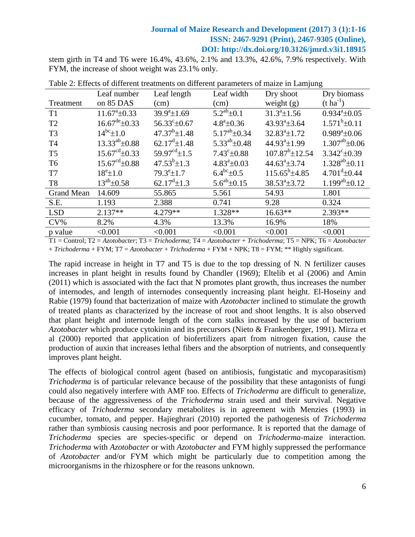stem girth in T4 and T6 were 16.4%, 43.6%, 2.1% and 13.3%, 42.6%, 7.9% respectively. With FYM, the increase of shoot weight was 23.1% only.

|                   | Leaf number                 | Leaf length                   | Leaf width           | Dry shoot             | Dry biomass                |
|-------------------|-----------------------------|-------------------------------|----------------------|-----------------------|----------------------------|
| Treatment         | on 85 DAS                   | (cm)                          | (cm)                 | weight $(g)$          | $(t \, ha^{-1})$           |
| T <sub>1</sub>    | $11.67^{\circ}$ ±0.33       | $39.9^{\circ}$ ±1.69          | $5.2^{ab} \pm 0.1$   | $31.3^{\circ}$ ±1.56  | $0.934^a \pm 0.05$         |
| T <sub>2</sub>    | $16.67^{\text{de}}\pm 0.33$ | $56.33^{\circ} \pm 0.67$      | $4.8^{\circ}$ ±0.36  | $43.93^{\circ}$ ±3.64 | $1.571^b \pm 0.11$         |
| T <sub>3</sub>    | $14^{bc}$ ± 1.0             | $47.37^b \pm 1.48$            | $5.17^{ab}$ ±0.34    | $32.83^a \pm 1.72$    | $0.989^a \pm 0.06$         |
| T <sub>4</sub>    | $13.33^{ab} \pm 0.88$       | $62.17^{\mathrm{d}} \pm 1.48$ | $5.33^{ab} \pm 0.48$ | $44.93^{\circ}$ ±1.99 | $1.307^{ab} \pm 0.06$      |
| T <sub>5</sub>    | $15.67^{\text{cd}}\pm 0.33$ | 59.97 $^{cd}$ ±1.5            | $7.43^{\circ}$ ±0.88 | $107.87^b \pm 12.54$  | $3.342^{\circ} \pm 0.39$   |
| T <sub>6</sub>    | $15.67^{\text{cd}}\pm0.88$  | $47.53^b \pm 1.3$             | $4.83^{\circ}$ ±0.03 | $44.63^{\circ}$ ±3.74 | $1.328^{ab} \pm 0.11$      |
| T7                | $18^{\circ}$ ±1.0           | $79.3^{\circ} \pm 1.7$        | $6.4^{bc}$ ±0.5      | $115.65^b \pm 4.85$   | $4.701^{\text{d}}\pm 0.44$ |
| T <sub>8</sub>    | $13^{ab} \pm 0.58$          | $62.17^{\rm d} \pm 1.3$       | $5.6^{ab} \pm 0.15$  | $38.53^{\circ}$ ±3.72 | $1.199^{ab} \pm 0.12$      |
| <b>Grand Mean</b> | 14.609                      | 55.865                        | 5.561                | 54.93                 | 1.801                      |
| S.E.              | 1.193                       | 2.388                         | 0.741                | 9.28                  | 0.324                      |
| <b>LSD</b>        | $2.137**$                   | $4.279**$                     | 1.328**              | $16.63**$             | 2.393**                    |
| $CV\%$            | 8.2%                        | 4.3%                          | 13.3%                | 16.9%                 | 18%                        |
| p value           | < 0.001                     | < 0.001                       | < 0.001              | < 0.001               | < 0.001                    |

Table 2: Effects of different treatments on different parameters of maize in Lamjung

T1 = Control; T2 = *Azotobacter*; T3 = *Trichoderma*; T4 = *Azotobacter* + *Trichoderma*; T5 = NPK; T6 = *Azotobacter* + *Trichoderma* + FYM; T7 = *Azotobacter* + *Trichoderma* + FYM + NPK; T8 = FYM; \*\* Highly significant.

The rapid increase in height in T7 and T5 is due to the top dressing of N. N fertilizer causes increases in plant height in results found by Chandler (1969); Eltelib et al (2006) and Amin (2011) which is associated with the fact that N promotes plant growth, thus increases the number of internodes, and length of internodes consequently increasing plant height. El-Hoseiny and Rabie (1979) found that bacterization of maize with *Azotobacter* inclined to stimulate the growth of treated plants as characterized by the increase of root and shoot lengths. It is also observed that plant height and internode length of the corn stalks increased by the use of bacterium *Azotobacter* which produce cytokinin and its precursors (Nieto & Frankenberger, 1991). Mirza et al (2000) reported that application of biofertilizers apart from nitrogen fixation, cause the production of auxin that increases lethal fibers and the absorption of nutrients, and consequently improves plant height.

The effects of biological control agent (based on antibiosis, fungistatic and mycoparasitism) *Trichoderma* is of particular relevance because of the possibility that these antagonists of fungi could also negatively interfere with AMF too. Effects of *Trichoderma* are difficult to generalize, because of the aggressiveness of the *Trichoderma* strain used and their survival. Negative efficacy of *Trichoderma* secondary metabolites is in agreement with Menzies (1993) in cucumber, tomato, and pepper. Hajieghrari (2010) reported the pathogenesis of *Trichoderma* rather than symbiosis causing necrosis and poor performance. It is reported that the damage of *Trichoderma* species are species-specific or depend on *Trichoderma*-maize interaction. *Trichoderma* with *Azotobacter* or with *Azotobacter* and FYM highly suppressed the performance of *Azotobacter* and/or FYM which might be particularly due to competition among the microorganisms in the rhizosphere or for the reasons unknown.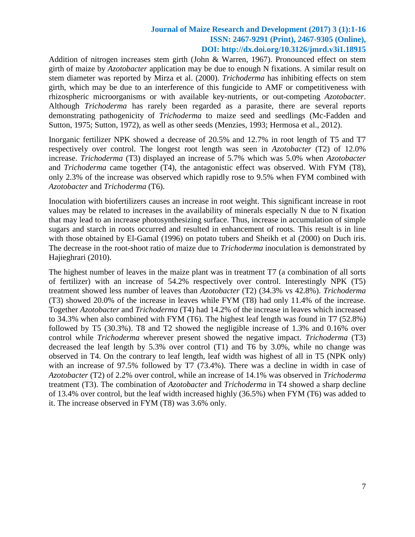Addition of nitrogen increases stem girth (John & Warren, 1967). Pronounced effect on stem girth of maize by *Azotobacter* application may be due to enough N fixations. A similar result on stem diameter was reported by Mirza et al. (2000). *Trichoderma* has inhibiting effects on stem girth, which may be due to an interference of this fungicide to AMF or competitiveness with rhizospheric microorganisms or with available key-nutrients, or out-competing *Azotobacter*. Although *Trichoderma* has rarely been regarded as a parasite, there are several reports demonstrating pathogenicity of *Trichoderma* to maize seed and seedlings (Mc-Fadden and Sutton, 1975; Sutton, 1972), as well as other seeds (Menzies, 1993; Hermosa et al., 2012).

Inorganic fertilizer NPK showed a decrease of 20.5% and 12.7% in root length of T5 and T7 respectively over control. The longest root length was seen in *Azotobacter* (T2) of 12.0% increase. *Trichoderma* (T3) displayed an increase of 5.7% which was 5.0% when *Azotobacter* and *Trichoderma* came together (T4), the antagonistic effect was observed. With FYM (T8), only 2.3% of the increase was observed which rapidly rose to 9.5% when FYM combined with *Azotobacter* and *Trichoderma* (T6).

Inoculation with biofertilizers causes an increase in root weight. This significant increase in root values may be related to increases in the availability of minerals especially N due to N fixation that may lead to an increase photosynthesizing surface. Thus, increase in accumulation of simple sugars and starch in roots occurred and resulted in enhancement of roots. This result is in line with those obtained by El-Gamal (1996) on potato tubers and Sheikh et al (2000) on Duch iris. The decrease in the root-shoot ratio of maize due to *Trichoderma* inoculation is demonstrated by Hajieghrari (2010).

The highest number of leaves in the maize plant was in treatment T7 (a combination of all sorts of fertilizer) with an increase of 54.2% respectively over control. Interestingly NPK (T5) treatment showed less number of leaves than *Azotobacter* (T2) (34.3% vs 42.8%). *Trichoderma*  (T3) showed 20.0% of the increase in leaves while FYM (T8) had only 11.4% of the increase. Together *Azotobacter* and *Trichoderma* (T4) had 14.2% of the increase in leaves which increased to 34.3% when also combined with FYM (T6). The highest leaf length was found in T7 (52.8%) followed by T5 (30.3%). T8 and T2 showed the negligible increase of 1.3% and 0.16% over control while *Trichoderma* wherever present showed the negative impact. *Trichoderma* (T3) decreased the leaf length by 5.3% over control (T1) and T6 by 3.0%, while no change was observed in T4. On the contrary to leaf length, leaf width was highest of all in T5 (NPK only) with an increase of 97.5% followed by T7 (73.4%). There was a decline in width in case of *Azotobacter* (T2) of 2.2% over control, while an increase of 14.1% was observed in *Trichoderma* treatment (T3). The combination of *Azotobacter* and *Trichoderma* in T4 showed a sharp decline of 13.4% over control, but the leaf width increased highly (36.5%) when FYM (T6) was added to it. The increase observed in FYM (T8) was 3.6% only.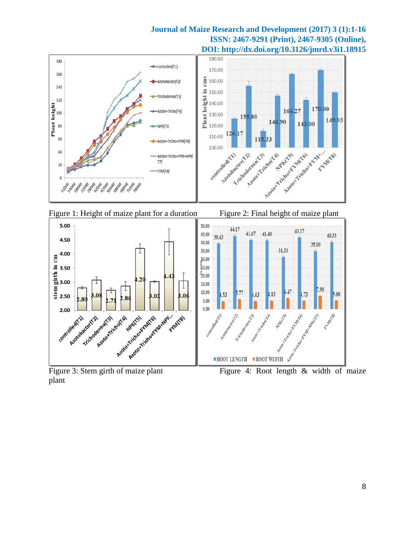



plant

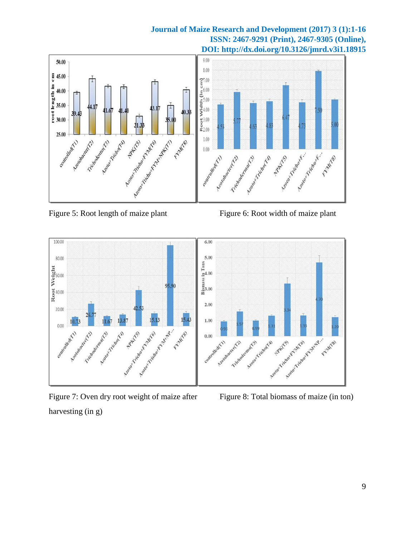

Figure 5: Root length of maize plant Figure 6: Root width of maize plant



Figure 7: Oven dry root weight of maize after Figure 8: Total biomass of maize (in ton) harvesting (in g)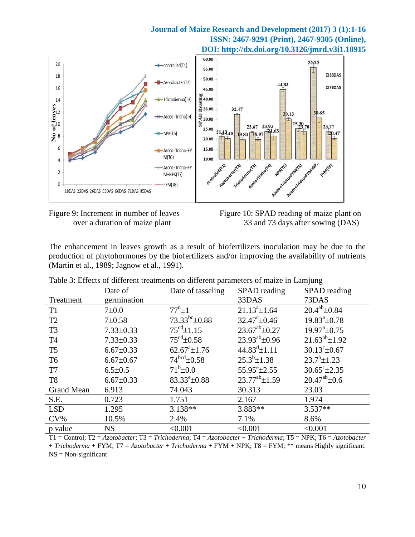



Figure 9: Increment in number of leaves Figure 10: SPAD reading of maize plant on over a duration of maize plant 33 and 73 days after sowing (DAS)

The enhancement in leaves growth as a result of biofertilizers inoculation may be due to the production of phytohormones by the biofertilizers and/or improving the availability of nutrients (Martin et al., 1989; Jagnow et al., 1991).

|                   | Date of         | Date of tasseling           | SPAD reading              | SPAD reading             |
|-------------------|-----------------|-----------------------------|---------------------------|--------------------------|
| Treatment         | germination     |                             | 33DAS                     | 73DAS                    |
| T1                | $7\pm0.0$       | $77^{\mathrm{d}}\pm1$       | $21.13^a \pm 1.64$        | $20.4^{ab} \pm 0.84$     |
| T <sub>2</sub>    | $7 \pm 0.58$    | $73.33^{bc} \pm 0.88$       | $32.47^{\circ} \pm 0.46$  | $19.83^{\circ}$ ±0.78    |
| T <sub>3</sub>    | $7.33 \pm 0.33$ | $75^{\text{cd}} \pm 1.15$   | $23.67^{ab} \pm 0.27$     | $19.97^{\circ}$ ±0.75    |
| T <sub>4</sub>    | $7.33 \pm 0.33$ | $75^{\text{cd}}\pm 0.58$    | $23.93^{ab} \pm 0.96$     | $21.63^{ab} \pm 1.92$    |
| T <sub>5</sub>    | $6.67 \pm 0.33$ | $62.67^{\mathrm{a}}\pm1.76$ | $44.83^{\text{d}}\pm1.11$ | $30.13^{\circ} \pm 0.67$ |
| T <sub>6</sub>    | $6.67 \pm 0.67$ | $74^{bcd} \pm 0.58$         | $25.3^b \pm 1.38$         | $23.7^b \pm 1.23$        |
| T <sub>7</sub>    | $6.5 \pm 0.5$   | $71^b \pm 0.0$              | $55.95^{\circ} \pm 2.55$  | $30.65^{\circ}$ ±2.35    |
| T <sub>8</sub>    | $6.67 \pm 0.33$ | $83.33^{\circ} \pm 0.88$    | $23.77^{ab} \pm 1.59$     | $20.47^{ab} \pm 0.6$     |
| <b>Grand Mean</b> | 6.913           | 74.043                      | 30.313                    | 23.03                    |
| S.E.              | 0.723           | 1.751                       | 2.167                     | 1.974                    |
| <b>LSD</b>        | 1.295           | $3.138**$                   | $3.883**$                 | $3.537**$                |
| $CV\%$            | 10.5%           | 2.4%                        | 7.1%                      | 8.6%                     |
| p value           | <b>NS</b>       | < 0.001                     | < 0.001                   | < 0.001                  |

Table 3: Effects of different treatments on different parameters of maize in Lamjung

T1 = Control; T2 = *Azotobacter*; T3 = *Trichoderma*; T4 = *Azotobacter* + *Trichoderma*; T5 = NPK; T6 = *Azotobacter* + *Trichoderma* + FYM; T7 = *Azotobacter* + *Trichoderma* + FYM + NPK; T8 = FYM; \*\* means Highly significant.  $NS = Non-significant$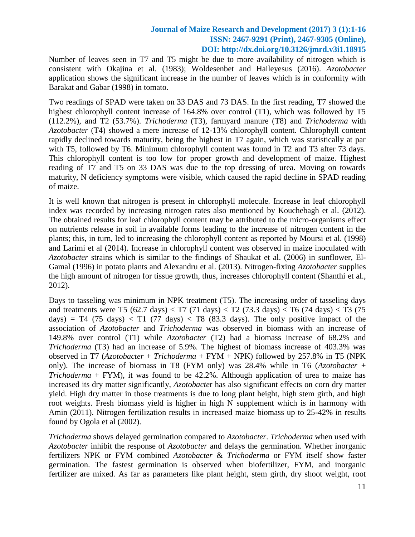Number of leaves seen in T7 and T5 might be due to more availability of nitrogen which is consistent with Okajina et al. (1983); Woldesenbet and Haileyesus (2016). *Azotobacter* application shows the significant increase in the number of leaves which is in conformity with Barakat and Gabar (1998) in tomato.

Two readings of SPAD were taken on 33 DAS and 73 DAS. In the first reading, T7 showed the highest chlorophyll content increase of 164.8% over control (T1), which was followed by T5 (112.2%), and T2 (53.7%). *Trichoderma* (T3), farmyard manure (T8) and *Trichoderma* with *Azotobacter* (T4) showed a mere increase of 12-13% chlorophyll content. Chlorophyll content rapidly declined towards maturity, being the highest in T7 again, which was statistically at par with T5, followed by T6. Minimum chlorophyll content was found in T2 and T3 after 73 days. This chlorophyll content is too low for proper growth and development of maize. Highest reading of T7 and T5 on 33 DAS was due to the top dressing of urea. Moving on towards maturity, N deficiency symptoms were visible, which caused the rapid decline in SPAD reading of maize.

It is well known that nitrogen is present in chlorophyll molecule. Increase in leaf chlorophyll index was recorded by increasing nitrogen rates also mentioned by Kouchebagh et al. (2012). The obtained results for leaf chlorophyll content may be attributed to the micro-organisms effect on nutrients release in soil in available forms leading to the increase of nitrogen content in the plants; this, in turn, led to increasing the chlorophyll content as reported by Moursi et al. (1998) and Larimi et al (2014). Increase in chlorophyll content was observed in maize inoculated with *Azotobacter* strains which is similar to the findings of Shaukat et al. (2006) in sunflower, El-Gamal (1996) in potato plants and Alexandru et al. (2013). Nitrogen-fixing *Azotobacter* supplies the high amount of nitrogen for tissue growth, thus, increases chlorophyll content (Shanthi et al., 2012).

Days to tasseling was minimum in NPK treatment (T5). The increasing order of tasseling days and treatments were T5 (62.7 days) < T7 (71 days) < T2 (73.3 days) < T6 (74 days) < T3 (75 days) = T4 (75 days) < T1 (77 days) < T8 (83.3 days). The only positive impact of the association of *Azotobacter* and *Trichoderma* was observed in biomass with an increase of 149.8% over control (T1) while *Azotobacter* (T2) had a biomass increase of 68.2% and *Trichoderma* (T3) had an increase of 5.9%. The highest of biomass increase of 403.3% was observed in T7 (*Azotobacter* + *Trichoderma* + FYM + NPK) followed by 257.8% in T5 (NPK only). The increase of biomass in T8 (FYM only) was 28.4% while in T6 (*Azotobacter* + *Trichoderma* + FYM), it was found to be 42.2%. Although application of urea to maize has increased its dry matter significantly, *Azotobacte*r has also significant effects on corn dry matter yield. High dry matter in those treatments is due to long plant height, high stem girth, and high root weights. Fresh biomass yield is higher in high N supplement which is in harmony with Amin (2011). Nitrogen fertilization results in increased maize biomass up to 25-42% in results found by Ogola et al (2002).

*Trichoderma* shows delayed germination compared to *Azotobacter*. *Trichoderma* when used with *Azotobacter* inhibit the response of *Azotobacter* and delays the germination. Whether inorganic fertilizers NPK or FYM combined *Azotobacter* & *Trichoderma* or FYM itself show faster germination. The fastest germination is observed when biofertilizer, FYM, and inorganic fertilizer are mixed. As far as parameters like plant height, stem girth, dry shoot weight, root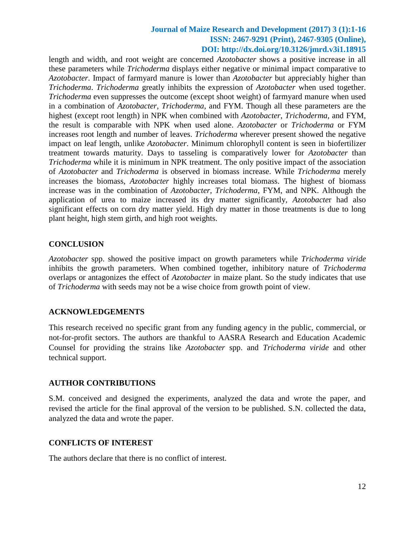length and width, and root weight are concerned *Azotobacter* shows a positive increase in all these parameters while *Trichoderma* displays either negative or minimal impact comparative to *Azotobacter*. Impact of farmyard manure is lower than *Azotobacter* but appreciably higher than *Trichoderma*. *Trichoderma* greatly inhibits the expression of *Azotobacter* when used together. *Trichoderma* even suppresses the outcome (except shoot weight) of farmyard manure when used in a combination of *Azotobacter*, *Trichoderma*, and FYM. Though all these parameters are the highest (except root length) in NPK when combined with *Azotobacter*, *Trichoderma*, and FYM, the result is comparable with NPK when used alone. *Azotobacter* or *Trichoderma* or FYM increases root length and number of leaves. *Trichoderma* wherever present showed the negative impact on leaf length, unlike *Azotobacter*. Minimum chlorophyll content is seen in biofertilizer treatment towards maturity. Days to tasseling is comparatively lower for *Azotobacter* than *Trichoderma* while it is minimum in NPK treatment. The only positive impact of the association of *Azotobacter* and *Trichoderma* is observed in biomass increase. While *Trichoderma* merely increases the biomass, *Azotobacter* highly increases total biomass. The highest of biomass increase was in the combination of *Azotobacter*, *Trichoderma*, FYM, and NPK. Although the application of urea to maize increased its dry matter significantly, *Azotobacte*r had also significant effects on corn dry matter yield. High dry matter in those treatments is due to long plant height, high stem girth, and high root weights.

# **CONCLUSION**

*Azotobacter* spp. showed the positive impact on growth parameters while *Trichoderma viride*  inhibits the growth parameters. When combined together, inhibitory nature of *Trichoderma* overlaps or antagonizes the effect of *Azotobacter* in maize plant. So the study indicates that use of *Trichoderma* with seeds may not be a wise choice from growth point of view.

#### **ACKNOWLEDGEMENTS**

This research received no specific grant from any funding agency in the public, commercial, or not-for-profit sectors. The authors are thankful to AASRA Research and Education Academic Counsel for providing the strains like *Azotobacter* spp. and *Trichoderma viride* and other technical support.

#### **AUTHOR CONTRIBUTIONS**

S.M. conceived and designed the experiments, analyzed the data and wrote the paper, and revised the article for the final approval of the version to be published. S.N. collected the data, analyzed the data and wrote the paper.

# **CONFLICTS OF INTEREST**

The authors declare that there is no conflict of interest.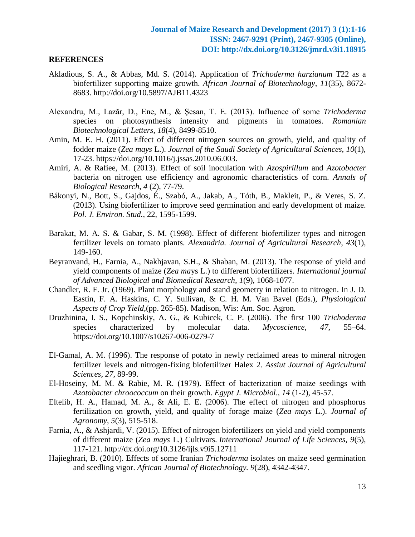#### **REFERENCES**

- Akladious, S. A., & Abbas, Md. S. (2014). Application of *Trichoderma harzianum* T22 as a biofertilizer supporting maize growth. *African Journal of Biotechnology*, *11*(35), 8672- 8683.<http://doi.org/10.5897/AJB11.4323>
- Alexandru, M., Lazăr, D., Ene, M., & Şesan, T. E. (2013). Influence of some *Trichoderma* species on photosynthesis intensity and pigments in tomatoes. *Romanian Biotechnological Letters*, *18*(4), 8499-8510.
- Amin, M. E. H. (2011). Effect of different nitrogen sources on growth, yield, and quality of fodder maize (*Zea mays* L.). *Journal of the Saudi Society of Agricultural Sciences*, *10*(1), 17-23. [https://doi.org/10.1016/j.jssas.2010.06.003.](https://doi.org/10.1016/j.jssas.2010.06.003)
- Amiri, A. & Rafiee, M. (2013). Effect of soil inoculation with *Azospirillum* and *Azotobacter* bacteria on nitrogen use efficiency and agronomic characteristics of corn. *Annals of Biological Research*, *4* (2), 77-79.
- Bákonyi, N., Bott, S., Gajdos, É., Szabó, A., Jakab, A., Tóth, B., Makleit, P., & Veres, S. Z. (2013). Using biofertilizer to improve seed germination and early development of maize. *Pol. J. Environ. Stud.*, 22, 1595-1599.
- Barakat, M. A. S. & Gabar, S. M. (1998). Effect of different biofertilizer types and nitrogen fertilizer levels on tomato plants. *Alexandria. Journal of Agricultural Research*, *43*(1), 149-160.
- Beyranvand, H., Farnia, A., Nakhjavan, S.H., & Shaban, M. (2013). The response of yield and yield components of maize (*Zea ma*ys L.) to different biofertilizers. *International journal of Advanced Biological and Biomedical Research, 1*(9), 1068-1077.
- Chandler, R. F. Jr. (1969). Plant morphology and stand geometry in relation to nitrogen. In J. D. Eastin, F. A. Haskins, C. Y. Sullivan, & C. H. M. Van Bavel (Eds.), *Physiological Aspects of Crop Yield*,(pp. 265-85). Madison, Wis: Am. Soc. Agron.
- Druzhinina, I. S., Kopchinskiy, A. G., & Kubicek, C. P. (2006). The first 100 *Trichoderma* species characterized by molecular data. *Mycoscience*, *47*, 55–64. <https://doi.org/10.1007/s10267-006-0279-7>
- El-Gamal, A. M. (1996). The response of potato in newly reclaimed areas to mineral nitrogen fertilizer levels and nitrogen-fixing biofertilizer Halex 2. *Assiut Journal of Agricultural Sciences, 27*, 89-99.
- El-Hoseiny, M. M. & Rabie, M. R. (1979). Effect of bacterization of maize seedings with *Azotobacter chroococcum* on their growth. *Egypt J. Microbiol*., *14* (1-2), 45-57.
- Eltelib, H. A., Hamad, M. A., & Ali, E. E. (2006). The effect of nitrogen and phosphorus fertilization on growth, yield, and quality of forage maize (*Zea mays* L.). *Journal of Agronomy*, *5*(3), 515-518.
- Farnia, A., & Ashjardi, V. (2015). Effect of nitrogen biofertilizers on yield and yield components of different maize (*Zea mays* L.) Cultivars. *International Journal of Life Sciences, 9*(5), 117-121.<http://dx.doi.org/10.3126/ijls.v9i5.12711>
- Hajieghrari, B. (2010). Effects of some Iranian *Trichoderma* isolates on maize seed germination and seedling vigor. *African Journal of Biotechnology. 9*(28), 4342-4347.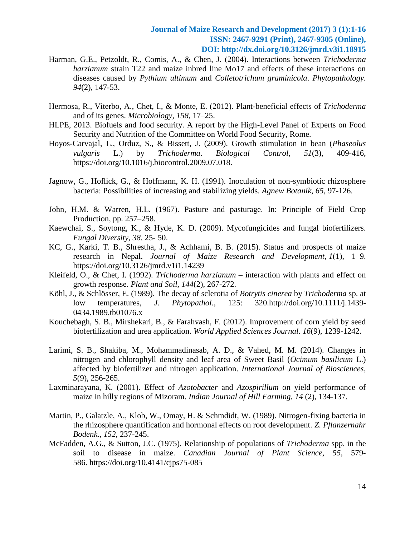- Harman, G.E., Petzoldt, R., Comis, A., & Chen, J. (2004). Interactions between *Trichoderma harzianum* strain T22 and maize inbred line Mo17 and effects of these interactions on diseases caused by *Pythium ultimum* and *Colletotrichum graminicola*. *Phytopathology. 94*(2), 147-53.
- Hermosa, R., Viterbo, A., Chet, I., & Monte, E. (2012). Plant-beneficial effects of *Trichoderma* and of its genes. *Microbiology, 158*, 17–25.
- HLPE, 2013. Biofuels and food security. A report by the High-Level Panel of Experts on Food Security and Nutrition of the Committee on World Food Security, Rome.
- Hoyos-Carvajal, L., Orduz, S., & Bissett, J. (2009). Growth stimulation in bean (*Phaseolus vulgaris* L.) by *Trichoderma*. *Biological Control*, *51*(3), 409-416, [https://doi.org/10.1016/j.biocontrol.2009.07.018.](https://doi.org/10.1016/j.biocontrol.2009.07.018)
- Jagnow, G., Hoflick, G., & Hoffmann, K. H. (1991). Inoculation of non-symbiotic rhizosphere bacteria: Possibilities of increasing and stabilizing yields. *Agnew Botanik*, *65*, 97-126.
- John, H.M. & Warren, H.L. (1967). Pasture and pasturage. In: Principle of Field Crop Production, pp. 257–258.
- Kaewchai, S., Soytong, K., & Hyde, K. D. (2009). Mycofungicides and fungal biofertilizers. *Fungal Diversity, 38*, 25- 50.
- KC, G., Karki, T. B., Shrestha, J., & Achhami, B. B. (2015). Status and prospects of maize research in Nepal. *Journal of Maize Research and Development*, *1*(1), 1–9. <https://doi.org/10.3126/jmrd.v1i1.14239>
- Kleifeld, O., & Chet, I. (1992). *Trichoderma harzianum* interaction with plants and effect on growth response. *Plant and Soil, 144*(2), 267-272.
- Köhl, J., & Schlösser, E. (1989). The decay of sclerotia of *Botrytis cinerea* by *Trichoderma* sp. at low temperatures, *J. Phytopathol*., 125: 320[.http://doi.org/10.1111/j.1439-](http://doi.org/10.1111/j.1439-0434.1989.tb01076.x) [0434.1989.tb01076.x](http://doi.org/10.1111/j.1439-0434.1989.tb01076.x)
- Kouchebagh, S. B., Mirshekari, B., & Farahvash, F. (2012). Improvement of corn yield by seed biofertilization and urea application. *World Applied Sciences Journal*. *16*(9), 1239-1242.
- Larimi, S. B., Shakiba, M., Mohammadinasab, A. D., & Vahed, M. M. (2014). Changes in nitrogen and chlorophyll density and leaf area of Sweet Basil (*Ocimum basilicum* L.) affected by biofertilizer and nitrogen application. *International Journal of Biosciences*, *5*(9), 256-265.
- Laxminarayana, K. (2001). Effect of *Azotobacter* and *Azospirillum* on yield performance of maize in hilly regions of Mizoram. *Indian Journal of Hill Farming, 14* (2), 134-137.
- Martin, P., Galatzle, A., Klob, W., Omay, H. & Schmdidt, W. (1989). Nitrogen-fixing bacteria in the rhizosphere quantification and hormonal effects on root development. *Z. Pflanzernahr Bodenk*., *152*, 237-245.
- McFadden, A.G., & Sutton, J.C. (1975). Relationship of populations of *Trichoderma* spp. in the soil to disease in maize. *Canadian Journal of Plant Science, 55*, 579- 586. <https://doi.org/10.4141/cjps75-085>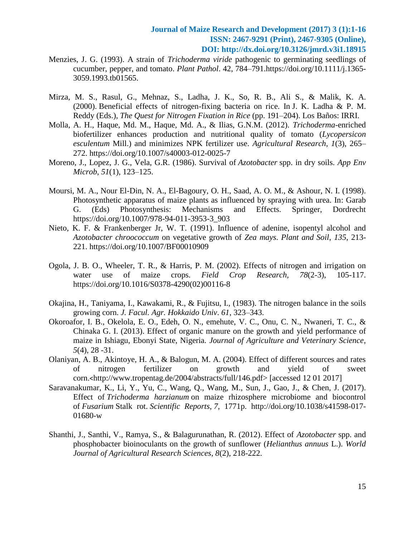- Menzies, J. G. (1993). A strain of *Trichoderma viride* pathogenic to germinating seedlings of cucumber, pepper, and tomato. *Plant Pathol*. 42, 784–791.https://doi.org/10.1111/j.1365- 3059.1993.tb01565.
- Mirza, M. S., Rasul, G., Mehnaz, S., Ladha, J. K., So, R. B., Ali S., & Malik, K. A. (2000). Beneficial effects of nitrogen-fixing bacteria on rice. In J. K. Ladha & P. M. Reddy (Eds.), *The Quest for Nitrogen Fixation in Rice* (pp. 191–204). Los Baños: IRRI.
- Molla, A. H., Haque, Md. M., Haque, Md. A., & Ilias, G.N.M. (2012). *Trichoderma*-enriched biofertilizer enhances production and nutritional quality of tomato (*Lycopersicon esculentum* Mill.) and minimizes NPK fertilizer use. *Agricultural Research*, *1*(3), 265– 272.<https://doi.org/10.1007/s40003-012-0025-7>
- Moreno, J., Lopez, J. G., Vela, G.R. (1986). Survival of *Azotobacter* spp. in dry soils. *App Env Microb*, *51*(1), 123–125.
- Moursi, M. A., Nour El-Din, N. A., El-Bagoury, O. H., Saad, A. O. M., & Ashour, N. I. (1998). Photosynthetic apparatus of maize plants as influenced by spraying with urea. In: Garab G. (Eds) Photosynthesis: Mechanisms and Effects. Springer, Dordrecht [https://doi.org/10.1007/978-94-011-3953-3\\_903](https://doi.org/10.1007/978-94-011-3953-3_903)
- Nieto, K. F. & Frankenberger Jr, W. T. (1991). Influence of adenine, isopentyl alcohol and *Azotobacter chroococcum* on vegetative growth of *Zea mays*. *Plant and Soil*, *135*, 213- 221.<https://doi.org/10.1007/BF00010909>
- Ogola, J. B. O., Wheeler, T. R., & Harris, P. M. (2002). Effects of nitrogen and irrigation on water use of maize crops. *Field Crop Research, 78*(2-3), 105-117. [https://doi.org/10.1016/S0378-4290\(02\)00116-8](https://doi.org/10.1016/S0378-4290(02)00116-8)
- Okajina, H., Taniyama, I., Kawakami, R., & Fujitsu, I., (1983). The nitrogen balance in the soils growing corn. *J. Facul. Agr. Hokkaido Univ*. *61*, 323–343.
- Okoroafor, I. B., Okelola, E. O., Edeh, O. N., emehute, V. C., Onu, C. N., Nwaneri, T. C., & Chinaka G. I. (2013). Effect of organic manure on the growth and yield performance of maize in Ishiagu, Ebonyi State, Nigeria. *Journal of Agriculture and Veterinary Science*, *5*(4), 28 -31.
- Olaniyan, A. B., Akintoye, H. A., & Balogun, M. A. (2004). Effect of different sources and rates of nitrogen fertilizer on growth and yield of sweet corn.<http://www.tropentag.de/2004/abstracts/full/146.pdf> [accessed 12 01 2017]
- Saravanakumar, K., Li, Y., Yu, C., Wang, Q., Wang, M., Sun, J., Gao, J., & Chen, J. (2017). Effect of *Trichoderma harzianum* on maize rhizosphere microbiome and biocontrol of *Fusarium* Stalk rot. *Scientific Reports*, *7*, 1771p. [http://doi.org/10.1038/s41598-017-](http://doi.org/10.1038/s41598-017-01680-w) [01680-w](http://doi.org/10.1038/s41598-017-01680-w)
- Shanthi, J., Santhi, V., Ramya, S., & Balagurunathan, R. (2012). Effect of *Azotobacter* spp. and phosphobacter bioinoculants on the growth of sunflower (*Helianthus annuus* L.). *World Journal of Agricultural Research Sciences*, *8*(2), 218-222.